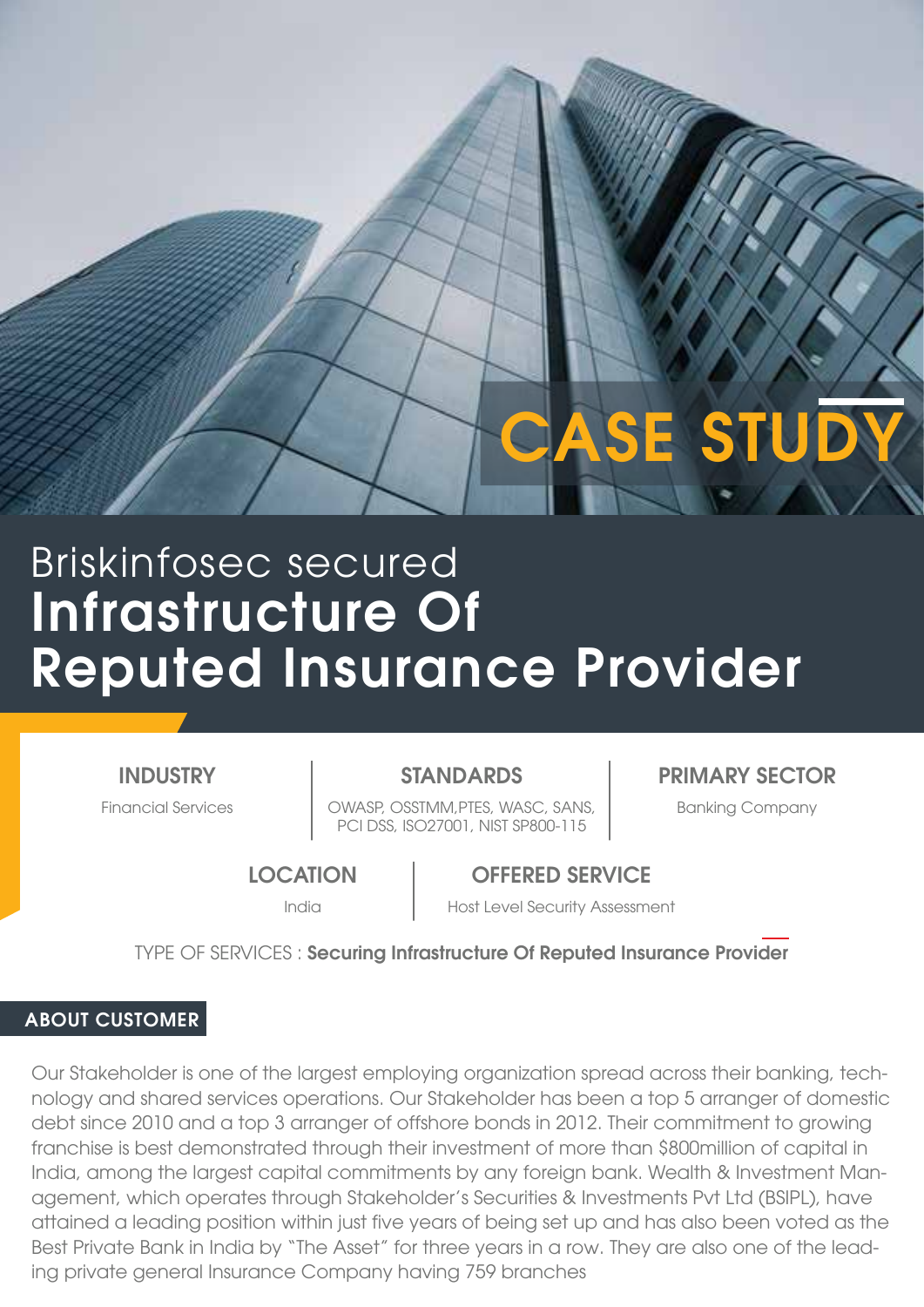# Infrastructure Of Briskinfosec secured

## Reputed Insurance Provider

**INDUSTRY** 

Financial Services **Company** | OWASP, OSSTMM,PTES, WASC, SANS, | Banking Company PCI DSS, ISO27001, NIST SP800-115

STANDARDS PRIMARY SECTOR

CASE STUDY

**LOCATION** 

OFFERED SERVICE

India **Host Level Security Assessment** 

TYPE OF SERVICES : Securing Infrastructure Of Reputed Insurance Provider

#### ABOUT CUSTOMER

Our Stakeholder is one of the largest employing organization spread across their banking, technology and shared services operations. Our Stakeholder has been a top 5 arranger of domestic debt since 2010 and a top 3 arranger of offshore bonds in 2012. Their commitment to growing franchise is best demonstrated through their investment of more than \$800million of capital in India, among the largest capital commitments by any foreign bank. Wealth & Investment Management, which operates through Stakeholder's Securities & Investments Pvt Ltd (BSIPL), have attained a leading position within just five years of being set up and has also been voted as the Best Private Bank in India by "The Asset" for three years in a row. They are also one of the leading private general Insurance Company having 759 branches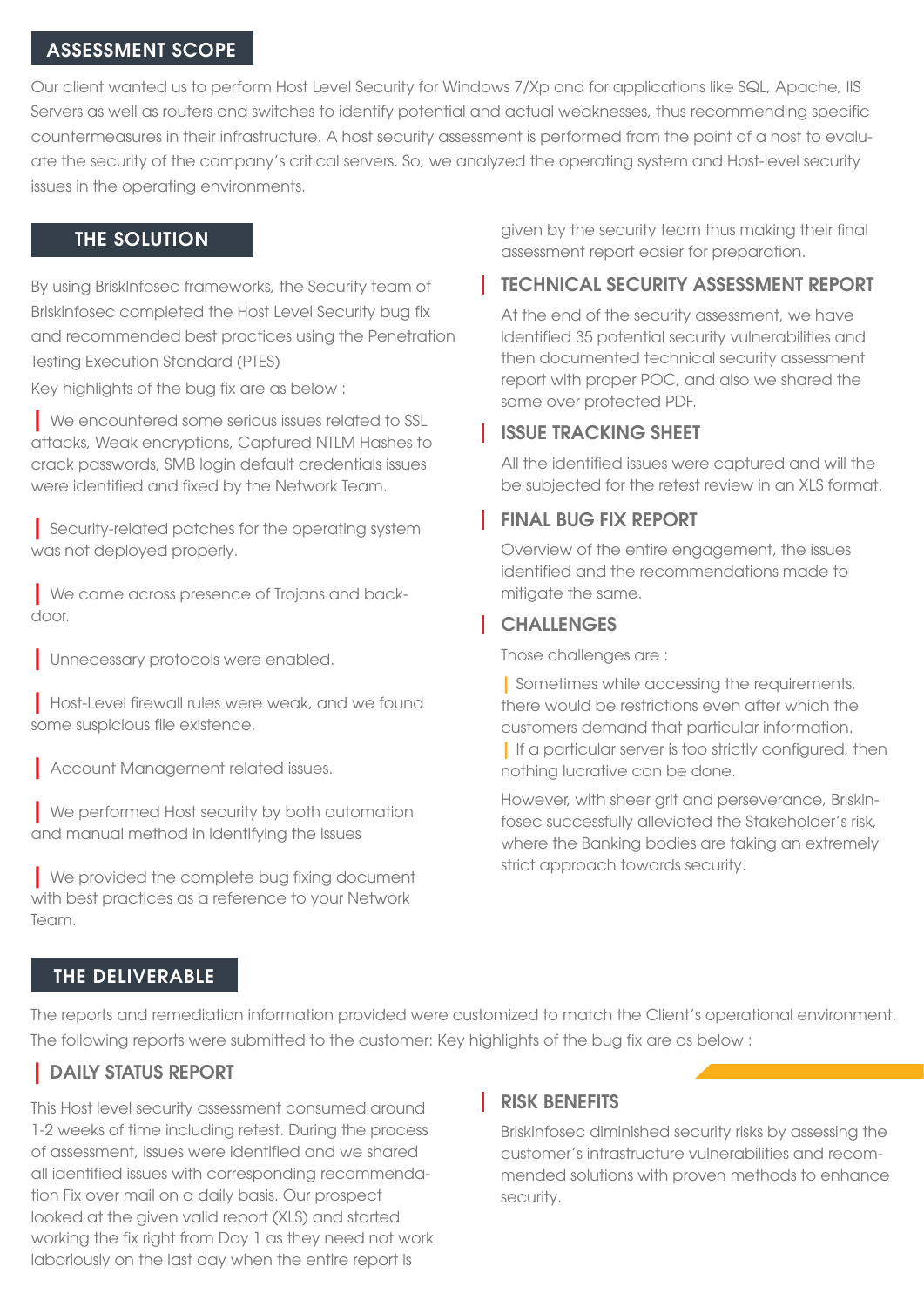#### ASSESSMENT SCOPE

Our client wanted us to perform Host Level Security for Windows 7/Xp and for applications like SQL, Apache, IIS Servers as well as routers and switches to identify potential and actual weaknesses, thus recommending specific countermeasures in their infrastructure. A host security assessment is performed from the point of a host to evaluate the security of the company's critical servers. So, we analyzed the operating system and Host-level security issues in the operating environments.

#### THE SOLUTION

By using BriskInfosec frameworks, the Security team of Briskinfosec completed the Host Level Security bug fix and recommended best practices using the Penetration Testing Execution Standard (PTES)

Key highlights of the bug fix are as below :

| We encountered some serious issues related to SSL attacks, Weak encryptions, Captured NTLM Hashes to crack passwords, SMB login default credentials issues were identified and fixed by the Network Team.

| Security-related patches for the operating system was not deployed properly.

| We came across presence of Trojans and backdoor.

| Unnecessary protocols were enabled.

| Host-Level firewall rules were weak, and we found some suspicious file existence.

| Account Management related issues.

| We performed Host security by both automation and manual method in identifying the issues

| We provided the complete bug fixing document with best practices as a reference to your Network Team.

given by the security team thus making their final assessment report easier for preparation.

#### TECHNICAL SECURITY ASSESSMENT REPORT

At the end of the security assessment, we have identified 35 potential security vulnerabilities and then documented technical security assessment report with proper POC, and also we shared the same over protected PDF.

#### ISSUE TRACKING SHEET

All the identified issues were captured and will the be subjected for the retest review in an XLS format.

#### FINAL BUG FIX REPORT

Overview of the entire engagement, the issues identified and the recommendations made to mitigate the same.

#### **CHALLENGES**

Those challenges are :

| Sometimes while accessing the requirements, there would be restrictions even after which the customers demand that particular information.

| If a particular server is too strictly configured, then nothing lucrative can be done.

However, with sheer grit and perseverance, Briskinfosec successfully alleviated the Stakeholder's risk, where the Banking bodies are taking an extremely strict approach towards security.

#### THE DELIVERABLE

The reports and remediation information provided were customized to match the Client's operational environment. The following reports were submitted to the customer: Key highlights of the bug fix are as below :

#### | DAILY STATUS REPORT

This Host level security assessment consumed around 1-2 weeks of time including retest. During the process of assessment, issues were identified and we shared all identified issues with corresponding recommendation Fix over mail on a daily basis. Our prospect looked at the given valid report (XLS) and started working the fix right from Day 1 as they need not work laboriously on the last day when the entire report is

#### RISK BENEFITS

BriskInfosec diminished security risks by assessing the customer's infrastructure vulnerabilities and recommended solutions with proven methods to enhance security.